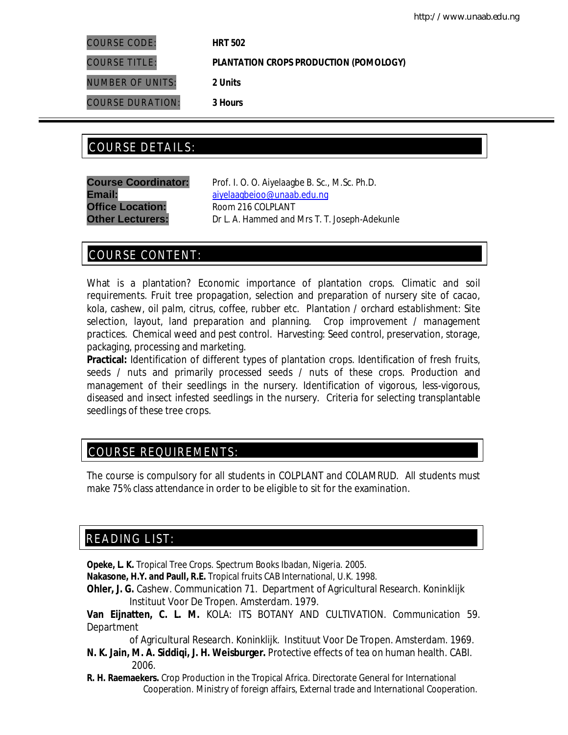COURSE CODE: **HRT 502**

COURSE TITLE: **PLANTATION CROPS PRODUCTION (POMOLOGY)**

NUMBER OF UNITS: **2 Units**

COURSE DURATION: **3 Hours**

## COURSE DETAILS: COURSE DETAILS:

**Office Location:** Room 216 COLPLANT

**Course Coordinator:** Prof. I. O. O. Aiyelaagbe B. Sc., M.Sc. Ph.D. Email: aiyelaagbeioo@unaab.edu.ng **Other Lecturers:** Dr L. A. Hammed and Mrs T. T. Joseph-Adekunle

### COURSE CONTENT:

What is a plantation? Economic importance of plantation crops. Climatic and soil requirements. Fruit tree propagation, selection and preparation of nursery site of cacao, kola, cashew, oil palm, citrus, coffee, rubber etc. Plantation / orchard establishment: Site selection, layout, land preparation and planning. Crop improvement / management practices. Chemical weed and pest control. Harvesting: Seed control, preservation, storage, packaging, processing and marketing.

**Practical:** Identification of different types of plantation crops. Identification of fresh fruits, seeds / nuts and primarily processed seeds / nuts of these crops. Production and management of their seedlings in the nursery. Identification of vigorous, less-vigorous, diseased and insect infested seedlings in the nursery. Criteria for selecting transplantable seedlings of these tree crops.

### COURSE REQUIREMENTS:

The course is compulsory for all students in COLPLANT and COLAMRUD. All students must make 75% class attendance in order to be eligible to sit for the examination.

## READING LIST:

**Opeke, L. K.** Tropical Tree Crops. Spectrum Books Ibadan, Nigeria. 2005.

**Nakasone, H.Y. and Paull, R.E.** Tropical fruits CAB International, U.K. 1998.

**Ohler, J. G.** Cashew. Communication 71. Department of Agricultural Research. Koninklijk Instituut Voor De Tropen. Amsterdam. 1979.

**Van Eijnatten, C. L. M.** KOLA: ITS BOTANY AND CULTIVATION. Communication 59. **Department** 

 of Agricultural Research. Koninklijk. Instituut Voor De Tropen. Amsterdam. 1969. **N. K. Jain, M. A. Siddiqi, J. H. Weisburger.** Protective effects of tea on human health. CABI.

 2006. **R. H. Raemaekers.** Crop Production in the Tropical Africa. Directorate General for International

Cooperation. Ministry of foreign affairs, External trade and International Cooperation.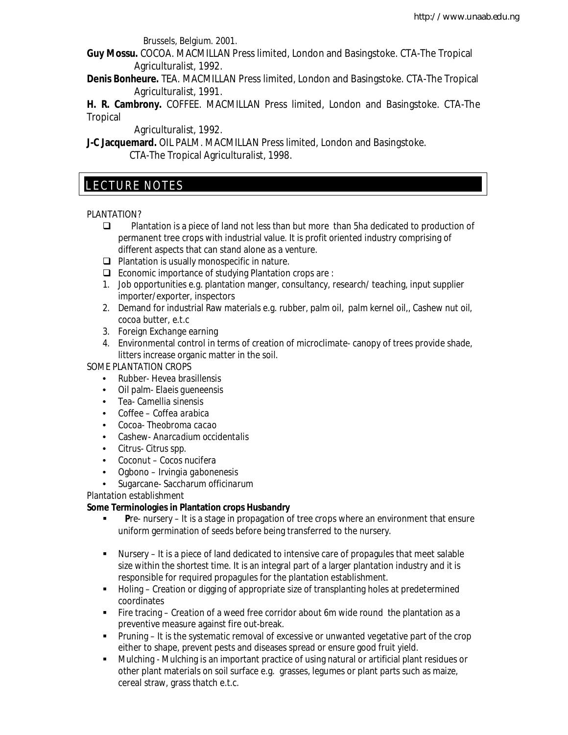Brussels, Belgium. 2001.

**Guy Mossu.** COCOA. MACMILLAN Press limited, London and Basingstoke. CTA-The Tropical Agriculturalist, 1992.

**Denis Bonheure.** TEA. MACMILLAN Press limited, London and Basingstoke. CTA-The Tropical Agriculturalist, 1991.

**H. R. Cambrony.** COFFEE. MACMILLAN Press limited, London and Basingstoke. CTA-The **Tropical** 

Agriculturalist, 1992.

**J-C Jacquemard.** OIL PALM. MACMILLAN Press limited, London and Basingstoke. CTA-The Tropical Agriculturalist, 1998.

### E LECTURE NOTES

#### PLANTATION?

- **Plantation is a piece of land not less than but more than 5ha dedicated to production of** permanent tree crops with industrial value. It is profit oriented industry comprising of different aspects that can stand alone as a venture.
- $\Box$  Plantation is usually monospecific in nature.
- $\Box$  Economic importance of studying Plantation crops are :
- 1. Job opportunities e.g. plantation manger, consultancy, research/ teaching, input supplier importer/exporter, inspectors
- 2. Demand for industrial Raw materials e.g. rubber, palm oil, palm kernel oil,, Cashew nut oil, cocoa butter, e.t.c
- 3. Foreign Exchange earning
- 4. Environmental control in terms of creation of microclimate- canopy of trees provide shade, litters increase organic matter in the soil.

SOME PLANTATION CROPS

- Rubber- *Hevea brasillensis*
- Oil palm- *Elaeis gueneensis*
- Tea- *Camellia sinensis*
- Coffee *Coffea arabica*
- Cocoa- *Theobroma cacao*
- Cashew- *Anarcadium occidentalis*
- Citrus- *Citrus spp.*
- Coconut *Cocos nucifera*
- Ogbono *Irvingia gabonenesis*
- Sugarcane- *Saccharum officinarum*

Plantation establishment

#### **Some Terminologies in Plantation crops Husbandry**

- **P**re- nursery It is a stage in propagation of tree crops where an environment that ensure uniform germination of seeds before being transferred to the nursery.
- Nursery It is a piece of land dedicated to intensive care of propagules that meet salable size within the shortest time. It is an integral part of a larger plantation industry and it is responsible for required propagules for the plantation establishment.
- Holing Creation or digging of appropriate size of transplanting holes at predetermined coordinates
- Fire tracing Creation of a weed free corridor about 6m wide round the plantation as a preventive measure against fire out-break.
- Pruning It is the systematic removal of excessive or unwanted vegetative part of the crop either to shape, prevent pests and diseases spread or ensure good fruit yield.
- Mulching Mulching is an important practice of using natural or artificial plant residues or other plant materials on soil surface e.g. grasses, legumes or plant parts such as maize, cereal straw, grass thatch e.t.c.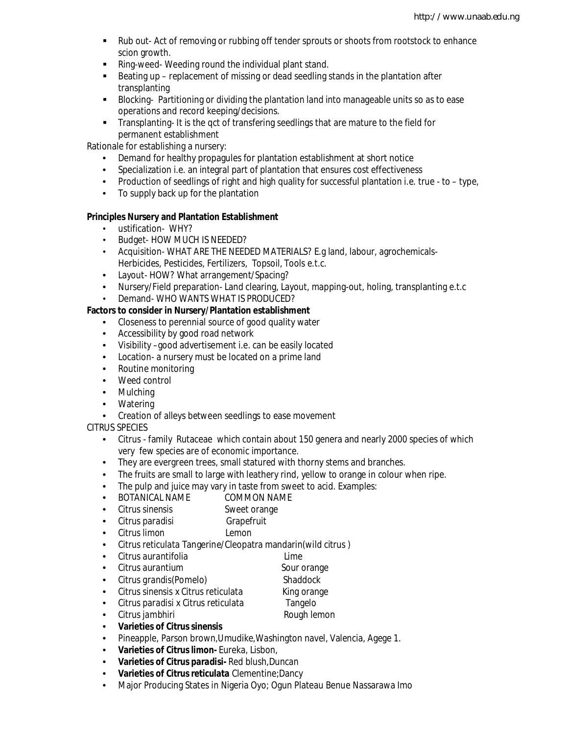- Rub out- Act of removing or rubbing off tender sprouts or shoots from rootstock to enhance scion growth.
- Ring-weed- Weeding round the individual plant stand.
- Beating up replacement of missing or dead seedling stands in the plantation after transplanting
- Blocking- Partitioning or dividing the plantation land into manageable units so as to ease operations and record keeping/decisions.
- Transplanting- It is the gct of transfering seedlings that are mature to the field for permanent establishment

Rationale for establishing a nursery:

- Demand for healthy propagules for plantation establishment at short notice
- Specialization i.e. an integral part of plantation that ensures cost effectiveness
- Production of seedlings of right and high quality for successful plantation i.e. true to type,
- To supply back up for the plantation

#### **Principles Nursery and Plantation Establishment**

- ustification- WHY?
- Budget- HOW MUCH IS NEEDED?
- Acquisition- WHAT ARE THE NEEDED MATERIALS? E.g land, labour, agrochemicals-Herbicides, Pesticides, Fertilizers, Topsoil, Tools e.t.c.
- Layout- HOW? What arrangement/Spacing?
- Nursery/Field preparation- Land clearing, Layout, mapping-out, holing, transplanting e.t.c
- Demand- WHO WANTS WHAT IS PRODUCED?

#### **Factors to consider in Nursery/Plantation establishment**

- Closeness to perennial source of good quality water
- Accessibility by good road network
- Visibility –good advertisement i.e. can be easily located
- Location- a nursery must be located on a prime land
- Routine monitoring
- Weed control
- Mulching
- Watering
- Creation of alleys between seedlings to ease movement

CITRUS SPECIES

- Citrus family Rutaceae which contain about 150 genera and nearly 2000 species of which very few species are of economic importance.
- They are evergreen trees, small statured with thorny stems and branches.
- The fruits are small to large with leathery rind, yellow to orange in colour when ripe.
- The pulp and juice may vary in taste from sweet to acid. Examples:
- BOTANICAL NAME COMMON NAME
- *Citrus sinensis* Sweet orange
- *Citrus paradisi* Grapefruit
- *Citrus limon* Lemon
- *Citrus reticulata* Tangerine/Cleopatra mandarin(wild citrus )
- *Citrus aurantifolia* Lime
- *Citrus aurantium* Sour orange
- *Citrus grandis*(Pomelo) Shaddock
	-
- *Citrus sinensis* x *Citrus reticulata* King orange • *Citrus paradisi* x *Citrus reticulata* Tangelo
- 
- *Citrus jambhiri* **and** *Citrus jambhiri* **and** *Citrus jambhiri* **<b>and** *Citrus jambhiri* **and** *C*
- **Varieties of** *Citrus sinensis*
- Pineapple, Parson brown,Umudike,Washington navel, Valencia, Agege 1.
- **Varieties of** *Citrus limon-* Eureka, Lisbon,
- **Varieties of** *Citrus paradisi-* Red blush,Duncan
- **Varieties of** *Citrus reticulata* Clementine;Dancy
- Major Producing States in Nigeria Oyo; Ogun Plateau Benue Nassarawa Imo
- 
- 
- 
- 
- 
- 
- 
- 
- 
-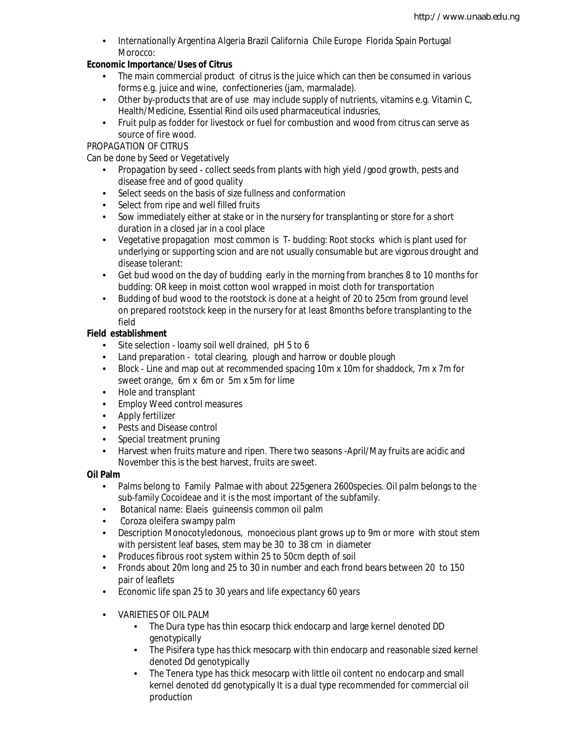• Internationally Argentina Algeria Brazil California Chile Europe Florida Spain Portugal Morocco:

#### **Economic Importance/Uses of Citrus**

- The main commercial product of citrus is the juice which can then be consumed in various forms e.g. juice and wine, confectioneries (jam, marmalade).
- Other by-products that are of use may include supply of nutrients, vitamins e.g. Vitamin C, Health/Medicine, Essential Rind oils used pharmaceutical indusries,
- Fruit pulp as fodder for livestock or fuel for combustion and wood from citrus can serve as source of fire wood.

#### PROPAGATION OF CITRUS

Can be done by Seed or Vegetatively

- Propagation by seed collect seeds from plants with high yield /good growth, pests and disease free and of good quality
- Select seeds on the basis of size fullness and conformation
- Select from ripe and well filled fruits
- Sow immediately either at stake or in the nursery for transplanting or store for a short duration in a closed jar in a cool place
- Vegetative propagation most common is T- budding: Root stocks which is plant used for underlying or supporting scion and are not usually consumable but are vigorous drought and disease tolerant:
- Get bud wood on the day of budding early in the morning from branches 8 to 10 months for budding: OR keep in moist cotton wool wrapped in moist cloth for transportation
- Budding of bud wood to the rootstock is done at a height of 20 to 25cm from ground level on prepared rootstock keep in the nursery for at least 8months before transplanting to the field

#### **Field establishment**

- Site selection loamy soil well drained, pH 5 to 6
- Land preparation total clearing, plough and harrow or double plough<br>• Block Line and map out at recommended spacing 10m x 10m for shadd
- Block Line and map out at recommended spacing 10m x 10m for shaddock, 7m x 7m for sweet orange, 6m x 6m or 5m x 5m for lime
- Hole and transplant
- Employ Weed control measures
- Apply fertilizer
- Pests and Disease control
- Special treatment pruning
- Harvest when fruits mature and ripen. There two seasons -April/May fruits are acidic and November this is the best harvest, fruits are sweet.

#### **Oil Palm**

- Palms belong to Family Palmae with about 225genera 2600species. Oil palm belongs to the sub-family Cocoideae and it is the most important of the subfamily.
- Botanical name: *Elaeis guineensis* common oil palm
- *Coroza oleifera* swampy palm
- Description Monocotyledonous, monoecious plant grows up to 9m or more with stout stem with persistent leaf bases, stem may be 30 to 38 cm in diameter
- Produces fibrous root system within 25 to 50cm depth of soil
- Fronds about 20m long and 25 to 30 in number and each frond bears between 20 to 150 pair of leaflets
- Economic life span 25 to 30 years and life expectancy 60 years
- VARIETIES OF OIL PALM
	- The Dura type has thin esocarp thick endocarp and large kernel denoted DD genotypically
	- The Pisifera type has thick mesocarp with thin endocarp and reasonable sized kernel denoted Dd genotypically
	- The Tenera type has thick mesocarp with little oil content no endocarp and small kernel denoted dd genotypically It is a dual type recommended for commercial oil production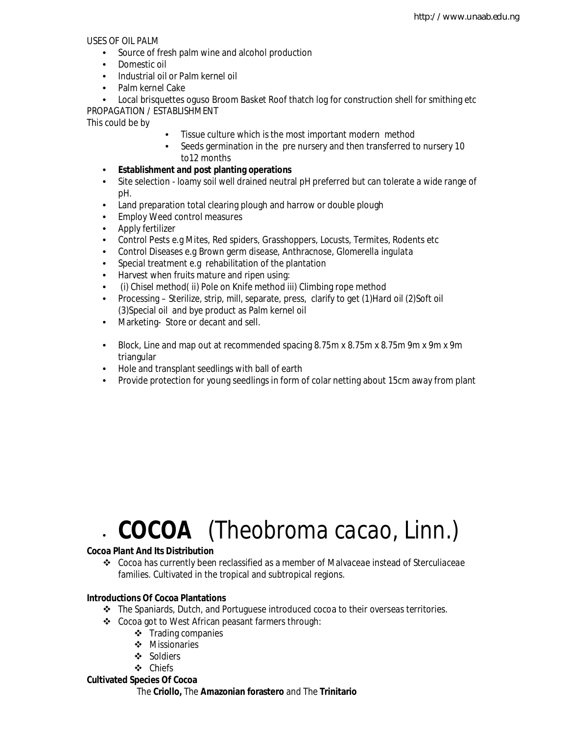USES OF OIL PALM

- Source of fresh palm wine and alcohol production
- Domestic oil
- Industrial oil or Palm kernel oil
- Palm kernel Cake

• Local brisquettes oguso Broom Basket Roof thatch log for construction shell for smithing etc PROPAGATION / ESTABLISHMENT

This could be by

- Tissue culture which is the most important modern method
- Seeds germination in the pre nursery and then transferred to nursery 10 to12 months
- **Establishment and post planting operations**
- Site selection loamy soil well drained neutral pH preferred but can tolerate a wide range of pH.
- Land preparation total clearing plough and harrow or double plough
- Employ Weed control measures
- Apply fertilizer
- Control Pests e.g Mites, Red spiders, Grasshoppers, Locusts, Termites, Rodents etc
- Control Diseases e.g Brown germ disease, Anthracnose, *Glomerella ingulata*
- Special treatment e.g rehabilitation of the plantation
- Harvest when fruits mature and ripen using:
- (i) Chisel method( ii) Pole on Knife method iii) Climbing rope method
- Processing Sterilize, strip, mill, separate, press, clarify to get (1) Hard oil (2) Soft oil (3)Special oil and bye product as Palm kernel oil
- Marketing- Store or decant and sell.
- Block, Line and map out at recommended spacing 8.75m x 8.75m x 8.75m 9m x 9m x 9m triangular
- Hole and transplant seedlings with ball of earth
- Provide protection for young seedlings in form of colar netting about 15cm away from plant

# • **COCOA** (*Theobroma cacao,* Linn.)

#### **Cocoa Plant And Its Distribution**

 Cocoa has currently been reclassified as a member of *Malvaceae* instead of *Sterculiaceae* families. Cultivated in the tropical and subtropical regions.

#### **Introductions Of Cocoa Plantations**

- The Spaniards, Dutch, and Portuguese introduced cocoa to their overseas territories.
	- Cocoa got to West African peasant farmers through:
		- $\div$  Trading companies
		- ❖ Missionaries
		- ❖ Soldiers
		- Chiefs

#### **Cultivated Species Of Cocoa**

The **Criollo,** The **Amazonian forastero** and The **Trinitario**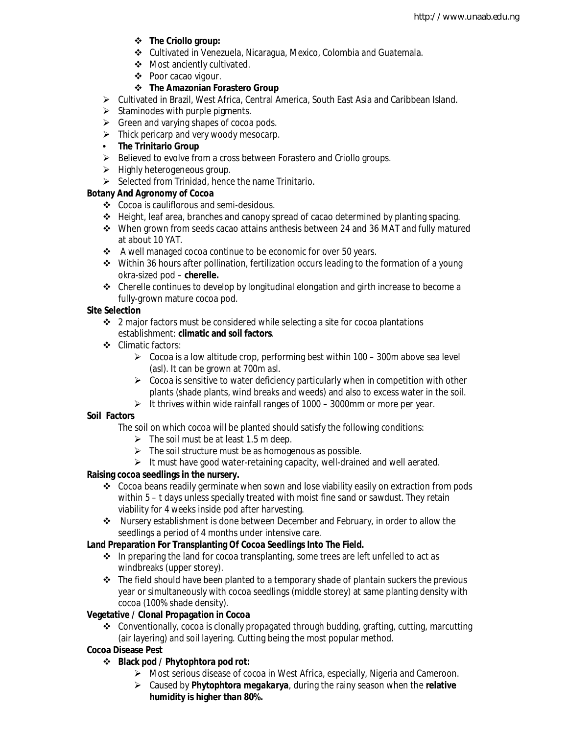- **The Criollo group:**
- Cultivated in Venezuela, Nicaragua, Mexico, Colombia and Guatemala.
- Most anciently cultivated.
- ❖ Poor cacao vigour.

#### **The Amazonian Forastero Group**

- $\triangleright$  Cultivated in Brazil, West Africa, Central America, South East Asia and Caribbean Island.
- $\triangleright$  Staminodes with purple pigments.
- $\triangleright$  Green and varying shapes of cocoa pods.
- $\triangleright$  Thick pericarp and very woody mesocarp.
- **The Trinitario Group**
- Believed to evolve from a cross between Forastero and Criollo groups.
- $\triangleright$  Highly heterogeneous group.
- $\triangleright$  Selected from Trinidad, hence the name Trinitario.

#### **Botany And Agronomy of Cocoa**

- Cocoa is cauliflorous and semi-desidous.
- $\div$  Height, leaf area, branches and canopy spread of cacao determined by planting spacing.
- $\cdot$  When grown from seeds cacao attains anthesis between 24 and 36 MAT and fully matured at about 10 YAT.
- A well managed cocoa continue to be economic for over 50 years.
- Within 36 hours after pollination, fertilization occurs leading to the formation of a young okra-sized pod – **cherelle.**
- $\div$  Cherelle continues to develop by longitudinal elongation and girth increase to become a fully-grown mature cocoa pod.

#### **Site Selection**

- $\cdot$  2 major factors must be considered while selecting a site for cocoa plantations establishment: **climatic and soil factors**.
- ❖ Climatic factors:
	- $\geq$  Cocoa is a low altitude crop, performing best within 100 300m above sea level (asl). It can be grown at 700m asl.
	- $\triangleright$  Cocoa is sensitive to water deficiency particularly when in competition with other plants (shade plants, wind breaks and weeds) and also to excess water in the soil.
	- It thrives within wide rainfall ranges of  $1000 3000$ mm or more per year.

#### **Soil Factors**

The soil on which cocoa will be planted should satisfy the following conditions:

- $\triangleright$  The soil must be at least 1.5 m deep.
- $\triangleright$  The soil structure must be as homogenous as possible.
- $\triangleright$  It must have good water-retaining capacity, well-drained and well aerated.

#### **Raising cocoa seedlings in the nursery.**

- Cocoa beans readily germinate when sown and lose viability easily on extraction from pods within 5 – t days unless specially treated with moist fine sand or sawdust. They retain viability for 4 weeks inside pod after harvesting.
- Nursery establishment is done between December and February, in order to allow the seedlings a period of 4 months under intensive care.

#### **Land Preparation For Transplanting Of Cocoa Seedlings Into The Field.**

- ❖ In preparing the land for cocoa transplanting, some trees are left unfelled to act as windbreaks (upper storey).
- $\div$  The field should have been planted to a temporary shade of plantain suckers the previous year or simultaneously with cocoa seedlings (middle storey) at same planting density with cocoa (100% shade density).

#### **Vegetative / Clonal Propagation in Cocoa**

 $\div$  Conventionally, cocoa is clonally propagated through budding, grafting, cutting, marcutting (air layering) and soil layering. Cutting being the most popular method.

#### **Cocoa Disease Pest**

- **Black pod / Phytophtora pod rot:** 
	- Most serious disease of cocoa in West Africa, especially, Nigeria and Cameroon.
	- Caused by *Phytophtora megakarya,* during the rainy season when the **relative humidity is higher than 80%.**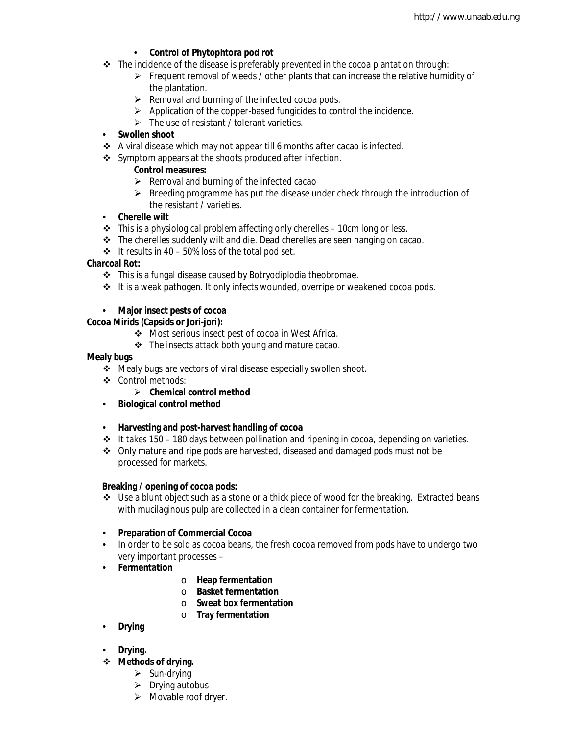#### • **Control of Phytophtora pod rot**

- $\cdot \cdot$  The incidence of the disease is preferably prevented in the cocoa plantation through:
	- $\triangleright$  Frequent removal of weeds / other plants that can increase the relative humidity of the plantation.
	- $\triangleright$  Removal and burning of the infected cocoa pods.
	- $\triangleright$  Application of the copper-based fungicides to control the incidence.
	- $\triangleright$  The use of resistant / tolerant varieties.

#### • **Swollen shoot**

- $\triangle$  A viral disease which may not appear till 6 months after cacao is infected.
- Symptom appears at the shoots produced after infection.

#### **Control measures:**

- $\triangleright$  Removal and burning of the infected cacao
- $\triangleright$  Breeding programme has put the disease under check through the introduction of the resistant / varieties.

#### • **Cherelle wilt**

- $\cdot \cdot$  This is a physiological problem affecting only cherelles 10cm long or less.
- \* The cherelles suddenly wilt and die. Dead cherelles are seen hanging on cacao.
- $\div$  It results in 40 50% loss of the total pod set.

#### **Charcoal Rot:**

- This is a fungal disease caused by *Botryodiplodia theobromae.*
- $\div$  It is a weak pathogen. It only infects wounded, overripe or weakened cocoa pods.

#### • **Major insect pests of cocoa**

#### **Cocoa Mirids (Capsids or Jori-jori):**

- Most serious insect pest of cocoa in West Africa.
- $\div$  The insects attack both young and mature cacao.

#### **Mealy bugs**

- Mealy bugs are vectors of viral disease especially swollen shoot.
- ❖ Control methods:
	- **Chemical control method**
- **Biological control method**
- **Harvesting and post-harvest handling of cocoa**
- \* It takes 150 180 days between pollination and ripening in cocoa, depending on varieties.
- Only mature and ripe pods are harvested, diseased and damaged pods must not be processed for markets.

#### **Breaking / opening of cocoa pods:**

- $\div$  Use a blunt object such as a stone or a thick piece of wood for the breaking. Extracted beans with mucilaginous pulp are collected in a clean container for fermentation.
- **Preparation of Commercial Cocoa**
- In order to be sold as cocoa beans, the fresh cocoa removed from pods have to undergo two very important processes –
- **Fermentation**
- o **Heap fermentation**
- o **Basket fermentation**
- o **Sweat box fermentation**
- o **Tray fermentation**
- **Drying**
- **Drying.**
- **Methods of drying.**
	- $\triangleright$  Sun-drying
	- $\triangleright$  Drying autobus
	- $\triangleright$  Movable roof dryer.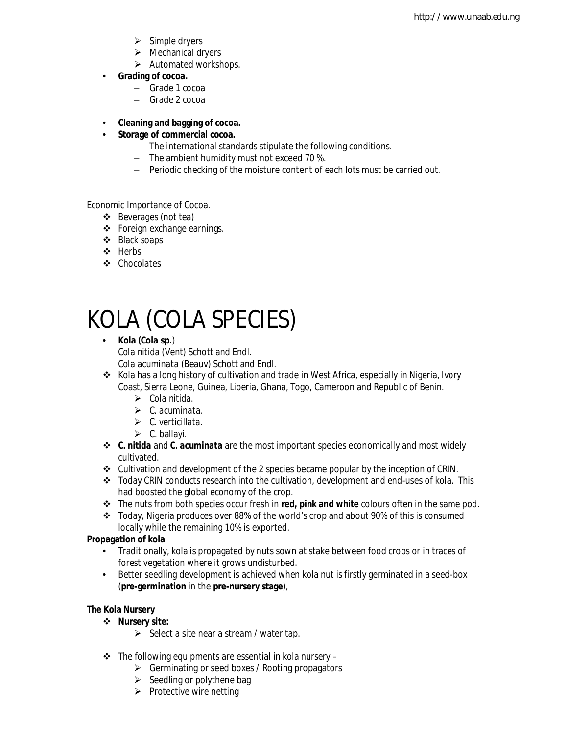- $\triangleright$  Simple dryers
- > Mechanical dryers
- $\triangleright$  Automated workshops.
- **Grading of cocoa.**
	- Grade 1 cocoa
	- Grade 2 cocoa
- **Cleaning and bagging of cocoa.**

#### • **Storage of commercial cocoa.**

- The international standards stipulate the following conditions.
- The ambient humidity must not exceed 70 %.
- Periodic checking of the moisture content of each lots must be carried out.

Economic Importance of Cocoa.

- ❖ Beverages (not tea)
- Foreign exchange earnings.
- Black soaps
- ❖ Herbs
- Chocolates

# KOLA (*COLA SPECIES*)

- **Kola (***Cola sp.*) *Cola nitida* (Vent) Schott and Endl. *Cola acuminata* (Beauv) Schott and Endl.
- $\bullet$  Kola has a long history of cultivation and trade in West Africa, especially in Nigeria, Ivory Coast, Sierra Leone, Guinea, Liberia, Ghana, Togo, Cameroon and Republic of Benin.
	- *Cola nitida.*
	- *C. acuminata.*
	- *C. verticillata.*
	- $\triangleright$  C. ballayi.
- *C. nitida* and *C. acuminata* are the most important species economically and most widely cultivated.
- $\div$  Cultivation and development of the 2 species became popular by the inception of CRIN.
- Today CRIN conducts research into the cultivation, development and end-uses of kola. This had boosted the global economy of the crop.
- The nuts from both species occur fresh in **red, pink and white** colours often in the same pod.
- \* Today, Nigeria produces over 88% of the world's crop and about 90% of this is consumed locally while the remaining 10% is exported.

#### **Propagation of kola**

- Traditionally, kola is propagated by nuts sown at stake between food crops or in traces of forest vegetation where it grows undisturbed.
- Better seedling development is achieved when kola nut is firstly germinated in a seed-box (**pre-germination** in the **pre-nursery stage**),

#### **The Kola Nursery**

- **Nursery site:**
	- $\triangleright$  Select a site near a stream / water tap.
- $\div$  The following equipments are essential in kola nursery
	- $\triangleright$  Germinating or seed boxes / Rooting propagators
	- $\triangleright$  Seedling or polythene bag
	- $\triangleright$  Protective wire netting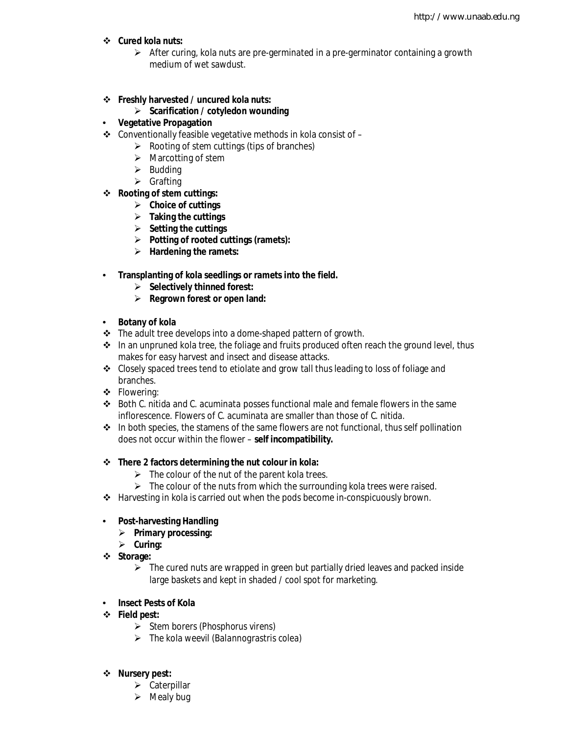#### **Cured kola nuts:**

 $\triangleright$  After curing, kola nuts are pre-germinated in a pre-germinator containing a growth medium of wet sawdust.

#### **Freshly harvested / uncured kola nuts:**

#### **Scarification / cotyledon wounding**

#### • **Vegetative Propagation**

- $\triangle$  Conventionally feasible vegetative methods in kola consist of  $-$ 
	- $\triangleright$  Rooting of stem cuttings (tips of branches)
		- $\triangleright$  Marcotting of stem
		- $\triangleright$  Budding
	- $\triangleright$  Grafting
- **Rooting of stem cuttings:**
	- **Choice of cuttings**
	- **Taking the cuttings**
	- **Setting the cuttings**
	- **Potting of rooted cuttings (ramets):**
	- **Hardening the ramets:**
- **Transplanting of kola seedlings or ramets into the field.**
	- **Selectively thinned forest:**
	- **Regrown forest or open land:**

#### • **Botany of kola**

- The adult tree develops into a dome-shaped pattern of growth.
- $\cdot \cdot$  In an unpruned kola tree, the foliage and fruits produced often reach the ground level, thus makes for easy harvest and insect and disease attacks.
- $\div$  Closely spaced trees tend to etiolate and grow tall thus leading to loss of foliage and branches.
- Flowering:
- Both *C. nitida* and *C. acuminata* posses functional male and female flowers in the same inflorescence. Flowers of *C. acuminata* are smaller than those of *C. nitida.*
- $\triangleq$  In both species, the stamens of the same flowers are not functional, thus self pollination does not occur within the flower – **self incompatibility.**

#### **There 2 factors determining the nut colour in kola:**

- $\triangleright$  The colour of the nut of the parent kola trees.
- $\triangleright$  The colour of the nuts from which the surrounding kola trees were raised.
- \* Harvesting in kola is carried out when the pods become in-conspicuously brown.

#### • **Post-harvesting Handling**

- **Primary processing:**
- **Curing:**
- **Storage:**
	- $\triangleright$  The cured nuts are wrapped in green but partially dried leaves and packed inside large baskets and kept in shaded / cool spot for marketing.

#### • **Insect Pests of Kola**

- **Field pest:**
	- Stem borers (*Phosphorus virens*)
	- The kola weevil (*Balannograstris colea*)

#### **Nursery pest:**

- $\triangleright$  Caterpillar
- $\triangleright$  Mealy bug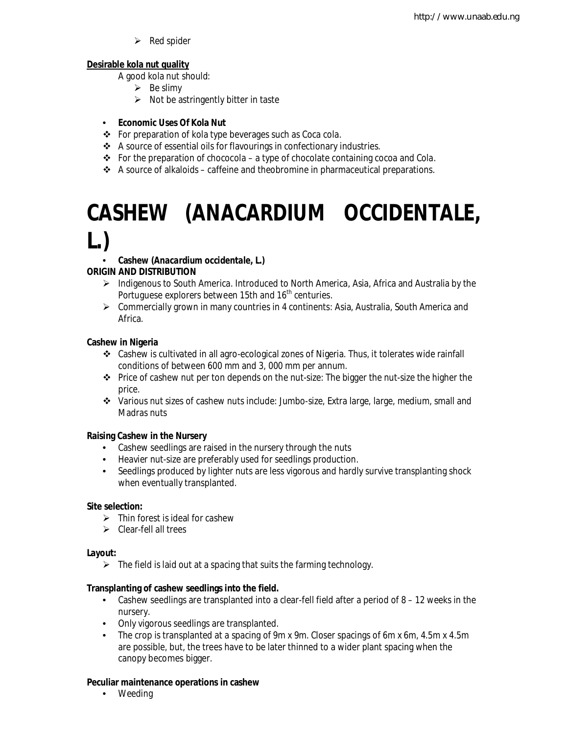$\triangleright$  Red spider

#### **Desirable kola nut quality**

A good kola nut should:

- $\triangleright$  Be slimy
- $\triangleright$  Not be astringently bitter in taste

#### • **Economic Uses Of Kola Nut**

- For preparation of kola type beverages such as Coca cola.
- A source of essential oils for flavourings in confectionary industries.
- For the preparation of chococola a type of chocolate containing cocoa and *Cola*.
- $\triangle$  A source of alkaloids caffeine and theobromine in pharmaceutical preparations.

## **CASHEW (***ANACARDIUM OCCIDENTALE***, L.)**

#### • **Cashew (***Anacardium occidentale***, L.)**

#### **ORIGIN AND DISTRIBUTION**

- $\triangleright$  Indigenous to South America. Introduced to North America, Asia, Africa and Australia by the Portuguese explorers between 15th and 16<sup>th</sup> centuries.
- $\triangleright$  Commercially grown in many countries in 4 continents: Asia, Australia, South America and Africa.

#### **Cashew in Nigeria**

- Cashew is cultivated in all agro-ecological zones of Nigeria. Thus, it tolerates wide rainfall conditions of between 600 mm and 3, 000 mm per annum.
- $\div$  Price of cashew nut per ton depends on the nut-size: The bigger the nut-size the higher the price.
- Various nut sizes of cashew nuts include: Jumbo-size, Extra large, large, medium, small and Madras nuts

#### **Raising Cashew in the Nursery**

- Cashew seedlings are raised in the nursery through the nuts
- Heavier nut-size are preferably used for seedlings production.
- Seedlings produced by lighter nuts are less vigorous and hardly survive transplanting shock when eventually transplanted.

#### **Site selection:**

- $\triangleright$  Thin forest is ideal for cashew
- $\triangleright$  Clear-fell all trees

#### **Layout:**

 $\triangleright$  The field is laid out at a spacing that suits the farming technology.

#### **Transplanting of cashew seedlings into the field.**

- Cashew seedlings are transplanted into a clear-fell field after a period of 8 12 weeks in the nursery.
- Only vigorous seedlings are transplanted.
- The crop is transplanted at a spacing of 9m x 9m. Closer spacings of 6m x 6m, 4.5m x 4.5m are possible, but, the trees have to be later thinned to a wider plant spacing when the canopy becomes bigger.

#### **Peculiar maintenance operations in cashew**

• Weeding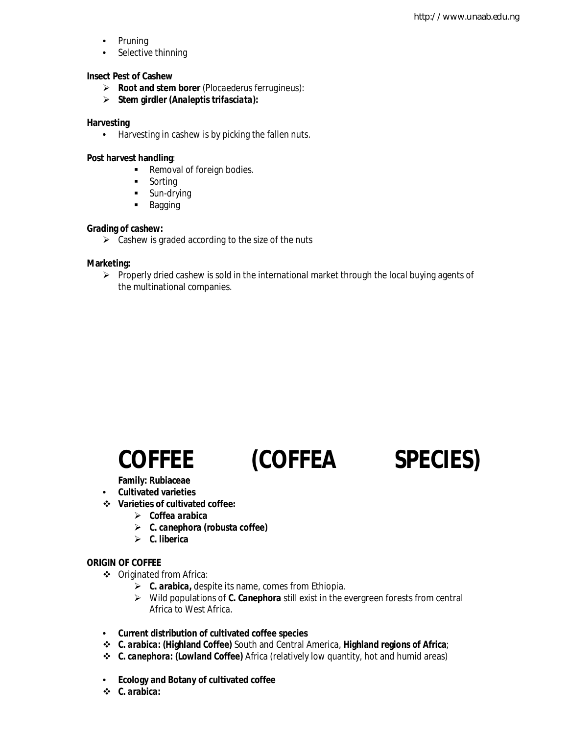- Pruning
- Selective thinning

#### **Insect Pest of Cashew**

- **Root and stem borer** (*Plocaederus ferrugineus*):
- **Stem girdler (***Analeptis trifasciata***):**

#### **Harvesting**

• Harvesting in cashew is by picking the fallen nuts.

#### **Post harvest handling**:

- Removal of foreign bodies.
- **Sorting**
- **Sun-drying**
- **Bagging**

#### **Grading of cashew:**

 $\triangleright$  Cashew is graded according to the size of the nuts

#### **Marketing:**

 $\triangleright$  Properly dried cashew is sold in the international market through the local buying agents of the multinational companies.

**Family: Rubiaceae**

- **Cultivated varieties**
- **Varieties of cultivated coffee:**
	- *Coffea arabica*
	- *C. canephora* **(robusta coffee)**
	- *C. liberica*

#### **ORIGIN OF COFFEE**

- Originated from Africa:
	- *C. arabica***,** despite its name, comes from Ethiopia.
	- Wild populations of *C. Canephora* still exist in the evergreen forests from central Africa to West Africa.
- **Current distribution of cultivated coffee species**
- *C. arabica***: (Highland Coffee)** South and Central America, **Highland regions of Africa**;
- *C. canephora:* **(Lowland Coffee)** Africa (relatively low quantity, hot and humid areas)
- **Ecology and Botany of cultivated coffee**
- *C. arabica:*

## **COFFEE (***COFFEA SPECIES***)**

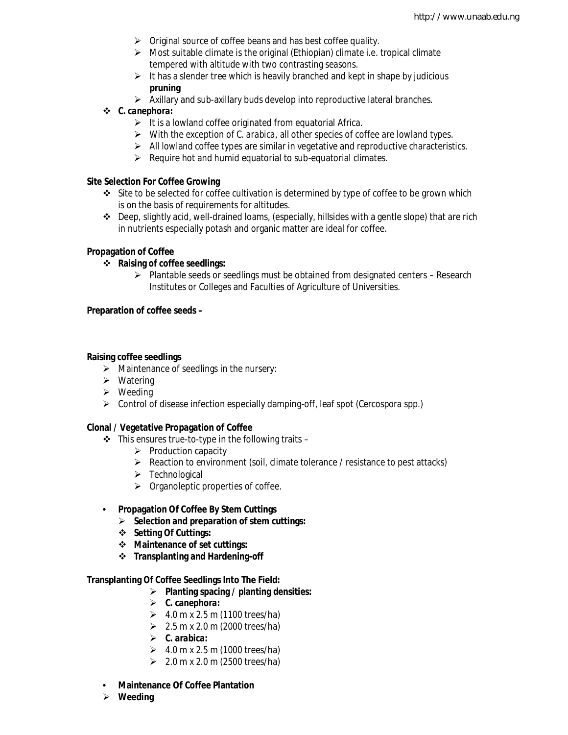- $\triangleright$  Original source of coffee beans and has best coffee quality.
- $\triangleright$  Most suitable climate is the original (Ethiopian) climate i.e. tropical climate tempered with altitude with two contrasting seasons.
- $\triangleright$  It has a slender tree which is heavily branched and kept in shape by judicious **pruning**
- $\triangleright$  Axillary and sub-axillary buds develop into reproductive lateral branches.

#### *C. canephora:*

- $\triangleright$  It is a lowland coffee originated from equatorial Africa.
- With the exception of *C. arabica*, all other species of coffee are lowland types.
- $\triangleright$  All lowland coffee types are similar in vegetative and reproductive characteristics.
- $\triangleright$  Require hot and humid equatorial to sub-equatorial climates.

#### **Site Selection For Coffee Growing**

- Site to be selected for coffee cultivation is determined by type of coffee to be grown which is on the basis of requirements for altitudes.
- $\div$  Deep, slightly acid, well-drained loams, (especially, hillsides with a gentle slope) that are rich in nutrients especially potash and organic matter are ideal for coffee.

#### **Propagation of Coffee**

- **Raising of coffee seedlings:** 
	- $\triangleright$  Plantable seeds or seedlings must be obtained from designated centers Research Institutes or Colleges and Faculties of Agriculture of Universities.

#### **Preparation of coffee seeds –**

#### **Raising coffee seedlings**

- $\triangleright$  Maintenance of seedlings in the nursery:
- $\triangleright$  Watering
- $\triangleright$  Weeding
- Control of disease infection especially damping-off, leaf spot (*Cercospora spp.*)

#### **Clonal / Vegetative Propagation of Coffee**

- $\cdot \cdot$  This ensures true-to-type in the following traits
	- $\triangleright$  Production capacity
	- $\triangleright$  Reaction to environment (soil, climate tolerance / resistance to pest attacks)
	- $\triangleright$  Technological
	- $\triangleright$  Organoleptic properties of coffee.
- **Propagation Of Coffee By Stem Cuttings**
	- **Selection and preparation of stem cuttings:**
	- **Setting Of Cuttings:**
	- **Maintenance of set cuttings:**
	- **Transplanting and Hardening-off**

#### **Transplanting Of Coffee Seedlings Into The Field:**

- **Planting spacing / planting densities:**
- *C. canephora:*
- $\geq 4.0 \text{ m} \times 2.5 \text{ m}$  (1100 trees/ha)
- $\geq 2.5$  m x 2.0 m (2000 trees/ha)
- *C. arabica:*
- $\geq 4.0 \text{ m} \times 2.5 \text{ m}$  (1000 trees/ha)
- $2.0 \text{ m} \times 2.0 \text{ m}$  (2500 trees/ha)
- **Maintenance Of Coffee Plantation**
- **Weeding**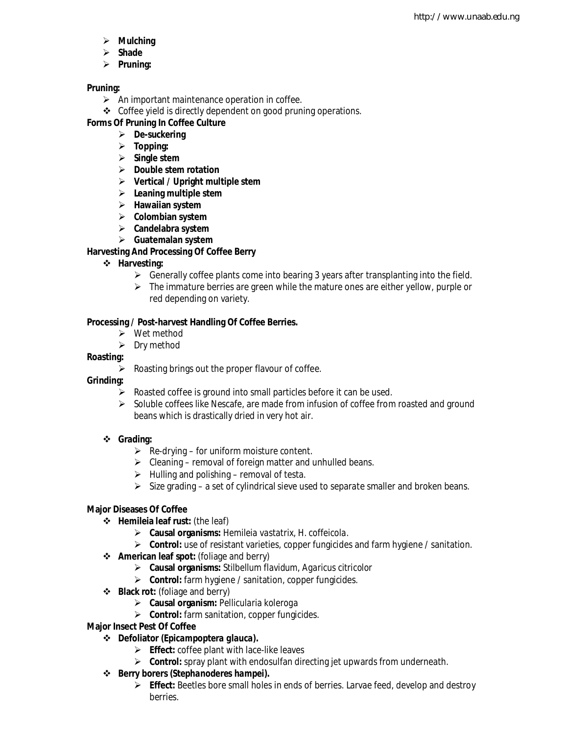- **Mulching**
- **Shade**
- **Pruning:**

#### **Pruning:**

- $\triangleright$  An important maintenance operation in coffee.
- ❖ Coffee yield is directly dependent on good pruning operations.

#### **Forms Of Pruning In Coffee Culture**

- **De-suckering**
- **Topping:**
- **Single stem**
- **Double stem rotation**
- **Vertical / Upright multiple stem**
- **Leaning multiple stem**
- **Hawaiian system**
- **Colombian system**
- **Candelabra system**
- **Guatemalan system**

#### **Harvesting And Processing Of Coffee Berry**

- **Harvesting:**
	- $\triangleright$  Generally coffee plants come into bearing 3 years after transplanting into the field.
	- $\triangleright$  The immature berries are green while the mature ones are either yellow, purple or red depending on variety.

#### **Processing / Post-harvest Handling Of Coffee Berries.**

- Wet method
- $\triangleright$  Dry method

#### **Roasting:**

- $\triangleright$  Roasting brings out the proper flavour of coffee.
- **Grinding:**
	- $\triangleright$  Roasted coffee is ground into small particles before it can be used.
	- $\triangleright$  Soluble coffees like Nescafe, are made from infusion of coffee from roasted and ground beans which is drastically dried in very hot air.

#### **Grading:**

- $\triangleright$  Re-drying for uniform moisture content.
- $\triangleright$  Cleaning removal of foreign matter and unhulled beans.
- $\triangleright$  Hulling and polishing removal of testa.
- $\triangleright$  Size grading a set of cylindrical sieve used to separate smaller and broken beans.

#### **Major Diseases Of Coffee**

- **Hemileia leaf rust:** (the leaf)
	- **Causal organisms:** *Hemileia vastatrix, H. coffeicola.*
	- **Control:** use of resistant varieties, copper fungicides and farm hygiene / sanitation.
- **American leaf spot:** (foliage and berry)
	- **Causal organisms:** *Stilbellum flavidum, Agaricus citricolor*
	- **Control:** farm hygiene / sanitation, copper fungicides.
- **Black rot:** (foliage and berry)
	- **Causal organism:** *Pellicularia koleroga*
	- **Control:** farm sanitation, copper fungicides.
- **Major Insect Pest Of Coffee**
	- **Defoliator (***Epicampoptera glauca***).**
		- **Effect:** coffee plant with lace-like leaves
		- **Control:** spray plant with endosulfan directing jet upwards from underneath.
	- **Berry borers (***Stephanoderes hampei***).**
		- **Effect:** Beetles bore small holes in ends of berries. Larvae feed, develop and destroy berries.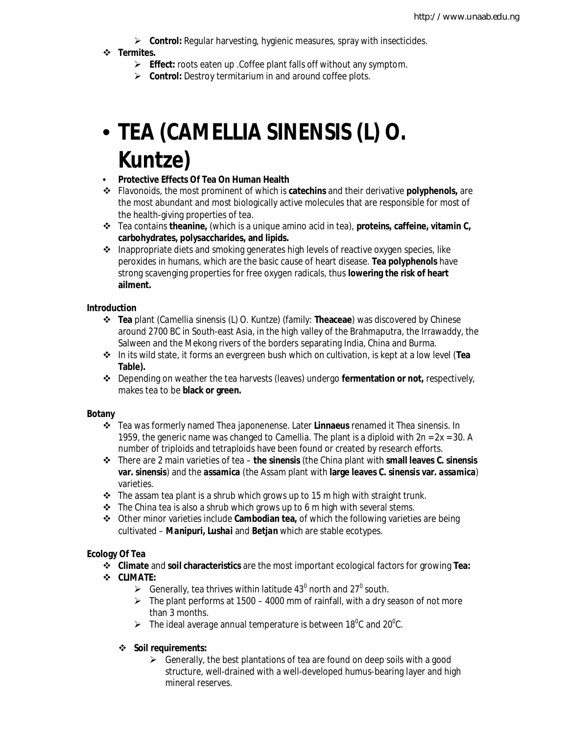**Control:** Regular harvesting, hygienic measures, spray with insecticides.

#### **Termites.**

- **Effect:** roots eaten up .Coffee plant falls off without any symptom.
- **Control:** Destroy termitarium in and around coffee plots.

## • **TEA (***CAMELLIA SINENSIS* **(L) O. Kuntze)**

#### • **Protective Effects Of Tea On Human Health**

- Flavonoids, the most prominent of which is **catechins** and their derivative **polyphenols,** are the most abundant and most biologically active molecules that are responsible for most of the health-giving properties of tea.
- Tea contains **theanine,** (which is a unique amino acid in tea), **proteins, caffeine, vitamin C, carbohydrates, polysaccharides, and lipids.**
- $\triangle$  Inappropriate diets and smoking generates high levels of reactive oxygen species, like peroxides in humans, which are the basic cause of heart disease. **Tea polyphenols** have strong scavenging properties for free oxygen radicals, thus **lowering the risk of heart ailment.**

#### **Introduction**

- **Tea** plant (*Camellia sinensis* (L) O. Kuntze) (family: **Theaceae**) was discovered by Chinese around 2700 BC in South-east Asia, in the high valley of the Brahmaputra, the Irrawaddy, the Salween and the Mekong rivers of the borders separating India, China and Burma.
- In its wild state, it forms an evergreen bush which on cultivation, is kept at a low level (**Tea Table).**
- Depending on weather the tea harvests (leaves) undergo **fermentation or not,** respectively, makes tea to be **black or green.**

#### **Botany**

- Tea was formerly named *Thea japonenense*. Later **Linnaeus** renamed it *Thea sinensis*. In 1959, the generic name was changed to *Camellia*. The plant is a diploid with 2n = 2x = 30. A number of triploids and tetraploids have been found or created by research efforts.
- There are 2 main varieties of tea **the** *sinensis* (the China plant with **small leaves** *C. sinensis* **var.** *sinensis*) and the *assamica* (the Assam plant with **large leaves** *C. sinensis* **var.** *assamica*) varieties.
- $\cdot \cdot$  The assam tea plant is a shrub which grows up to 15 m high with straight trunk.
- $\cdot \cdot$  The China tea is also a shrub which grows up to 6 m high with several stems.
- Other minor varieties include **Cambodian tea,** of which the following varieties are being cultivated – *Manipuri, Lushai* and *Betjan* which are stable ecotypes.

#### **Ecology Of Tea**

**Climate** and **soil characteristics** are the most important ecological factors for growing **Tea:**

#### **CLIMATE:**

- $\triangleright$  Generally, tea thrives within latitude 43<sup>0</sup> north and 27<sup>0</sup> south.
- $\triangleright$  The plant performs at 1500 4000 mm of rainfall, with a dry season of not more than 3 months.
- $\triangleright$  The ideal average annual temperature is between 18<sup>o</sup>C and 20<sup>o</sup>C.

#### **Soil requirements:**

 $\triangleright$  Generally, the best plantations of tea are found on deep soils with a good structure, well-drained with a well-developed humus-bearing layer and high mineral reserves.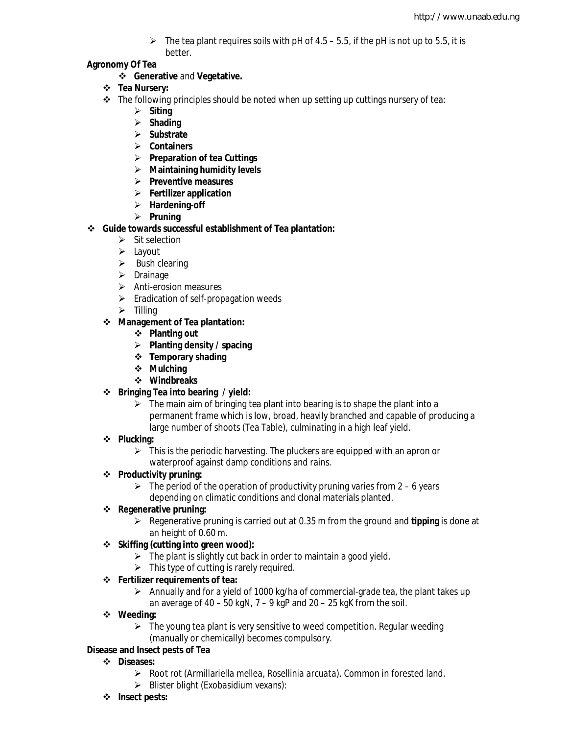$\triangleright$  The tea plant requires soils with pH of 4.5 – 5.5, if the pH is not up to 5.5, it is better.

#### **Agronomy Of Tea**

- **Generative** and **Vegetative.**
- **Tea Nursery:**
- $\div$  The following principles should be noted when up setting up cuttings nursery of tea:
	- **Siting**
	- **Shading**
	- **Substrate**
	- **Containers**
	- **Preparation of tea Cuttings**
	- **Maintaining humidity levels**
	- **Preventive measures**
	- **Fertilizer application**
	- **Hardening-off**
	- **Pruning**
- **Guide towards successful establishment of Tea plantation:**
	- $\triangleright$  Sit selection
	- $\triangleright$  Layout
	- $\triangleright$  Bush clearing
	- $\triangleright$  Drainage
	- $\triangleright$  Anti-erosion measures
	- $\triangleright$  Eradication of self-propagation weeds
	- $\triangleright$  Tilling

#### **Management of Tea plantation:**

- **Planting out**
- **Planting density / spacing**
- **Temporary shading**
- **Mulching**
- **Windbreaks**
- **Bringing Tea into bearing / yield:** 
	- $\triangleright$  The main aim of bringing tea plant into bearing is to shape the plant into a permanent frame which is low, broad, heavily branched and capable of producing a large number of shoots (Tea Table), culminating in a high leaf yield.
- **Plucking:**
	- $\triangleright$  This is the periodic harvesting. The pluckers are equipped with an apron or waterproof against damp conditions and rains.

#### **Productivity pruning:**

 $\triangleright$  The period of the operation of productivity pruning varies from 2 – 6 years depending on climatic conditions and clonal materials planted.

#### **Regenerative pruning:**

 $\triangleright$  Regenerative pruning is carried out at 0.35 m from the ground and **tipping** is done at an height of 0.60 m.

#### **Skiffing (cutting into green wood):**

- $\triangleright$  The plant is slightly cut back in order to maintain a good yield.
- $\triangleright$  This type of cutting is rarely required.

#### **Fertilizer requirements of tea:**

- $\triangleright$  Annually and for a yield of 1000 kg/ha of commercial-grade tea, the plant takes up an average of  $40 - 50$  kgN,  $7 - 9$  kgP and  $20 - 25$  kgK from the soil.
- **Weeding:**
	- $\triangleright$  The young tea plant is very sensitive to weed competition. Regular weeding (manually or chemically) becomes compulsory.

#### **Disease and Insect pests of Tea**

- **Diseases:**
	- Root rot (*Armillariella mellea, Rosellinia arcuata*). Common in forested land.
	- Blister blight (*Exobasidium vexans*):
- **Insect pests:**